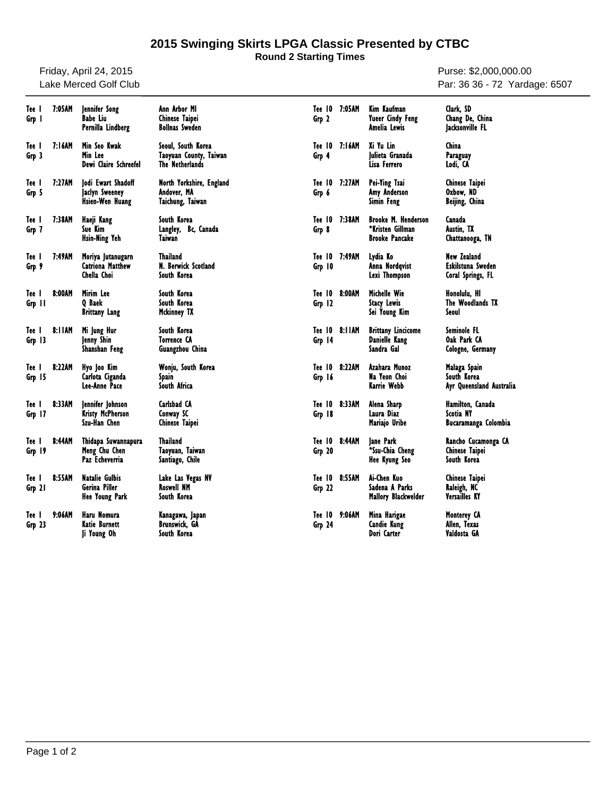## **2015 Swinging Skirts LPGA Classic Presented by CTBC**

**Round 2 Starting Times**

Friday, April 24, 2015 Lake Merced Golf Club

Purse: \$2,000,000.00 Par: 36 36 - 72 Yardage: 6507

| Tee I<br>Grp 1    | 7:05AM | Jennifer Song<br><b>Babe Liu</b><br>Pernilla Lindberg           | Ann Arbor MI<br>Chinese Taipei<br><b>Bollnas Sweden</b>         | Grp 2            | Tee 10 7:05AM | Kim Kaufman<br>Yueer Cindy Feng<br>Amelia Lewis                         | Clark. SD<br>Chang De, China<br>Jacksonville FL              |
|-------------------|--------|-----------------------------------------------------------------|-----------------------------------------------------------------|------------------|---------------|-------------------------------------------------------------------------|--------------------------------------------------------------|
| Tee I<br>Grp 3    | 7:16AM | Min Seo Kwak<br>Min Lee<br>Dewi Claire Schreefel                | Seoul, South Korea<br>Taoyuan County, Taiwan<br>The Netherlands | Tee 10<br>Grp 4  | 7:16AM        | Xi Yu Lin<br>lulieta Granada<br>Lisa Ferrero                            | China<br>Paraguay<br>Lodi, CA                                |
| Tee I<br>Grp 5    | 7:27AM | lodi Ewart Shadoff<br>Jaclyn Sweeney<br>Hsien-Wen Huang         | North Yorkshire, England<br>Andover, MA<br>Taichung, Taiwan     | Grp 6            | Tee 10 7:27AM | Pei-Ying Tsai<br>Amy Anderson<br>Simin Feng                             | Chinese Taipei<br>Oxbow, ND<br>Beijing, China                |
| Tee I<br>Grp 7    | 7:38AM | Haeji Kang<br>Sue Kim<br>Hsin-Ning Yeh                          | South Korea<br>Langley, Bc, Canada<br>Taiwan                    | Tee 10<br>Grp 8  | 7:38AM        | <b>Brooke M. Henderson</b><br>*Kristen Gillman<br><b>Brooke Pancake</b> | Canada<br>Austin, TX<br>Chattanooga, TN                      |
| Tee I<br>Grp 9    | 7:49AM | Moriya Jutanugarn<br><b>Catriona Matthew</b><br>Chella Choi     | <b>Thailand</b><br>N. Berwick Scotland<br>South Korea           | Grp 10           | Tee 10 7:49AM | Lydia Ko<br>Anna Nordqvist<br>Lexi Thompson                             | <b>New Zealand</b><br>Eskilstuna Sweden<br>Coral Springs, FL |
| Tee I<br>Grp 11   | 8:00AM | Mirim Lee<br>Q Baek<br><b>Brittany Lang</b>                     | South Korea<br>South Korea<br>Mckinney TX                       | Tee 10<br>Grp 12 | 8:00AM        | Michelle Wie<br><b>Stacy Lewis</b><br>Sei Young Kim                     | Honolulu, HI<br>The Woodlands TX<br>Seoul                    |
| Tee I<br>$Grp$ 13 | 8:11AM | Mi Jung Hur<br><b>lenny Shin</b><br>Shanshan Feng               | South Korea<br><b>Torrence CA</b><br>Guangzhou China            | Grp 14           | Tee 10 8:11AM | <b>Brittany Lincicome</b><br>Danielle Kang<br>Sandra Gal                | Seminole FL<br>Oak Park CA<br>Cologne, Germany               |
| Tee I<br>Grp 15   | 8:22AM | Hyo Joo Kim<br>Carlota Ciganda<br>Lee-Anne Pace                 | Wonju, South Korea<br>Spain<br>South Africa                     | Tee 10<br>Grp 16 | 8:22AM        | Azahara Munoz<br>Na Yeon Choi<br>Karrie Webb                            | Malaga Spain<br>South Korea<br>Ayr Queensland Australia      |
| Tee I<br>Grp 17   | 8:33AM | Jennifer Johnson<br>Kristy McPherson<br>Szu-Han Chen            | Carlsbad CA<br>Conway SC<br>Chinese Taipei                      | Tee 10<br>Grp 18 | 8:33AM        | Alena Sharp<br>Laura Diaz<br>Mariajo Uribe                              | Hamilton, Canada<br>Scotia NY<br>Bucaramanga Colombia        |
| Tee I<br>Grp 19   | 8:44AM | Thidapa Suwannapura<br>Meng Chu Chen<br>Paz Echeverria          | <b>Thailand</b><br>Taoyuan, Taiwan<br>Santiago, Chile           | Tee 10<br>Grp 20 | 8:44AM        | Jane Park<br>*Ssu-Chia Cheng<br>Hee Kyung Seo                           | Rancho Cucamonga CA<br>Chinese Taipei<br>South Korea         |
| Tee I<br>Grp 21   | 8:55AM | <b>Natalie Gulbis</b><br>Gerina Piller<br><b>Hee Young Park</b> | Lake Las Vegas NV<br><b>Roswell NM</b><br>South Korea           | Tee 10<br>Grp 22 | 8:55AM        | Ai-Chen Kuo<br>Sadena A Parks<br>Mallory Blackwelder                    | Chinese Taipei<br>Raleigh, NC<br>Versailles KY               |
| Tee I<br>Grp 23   | 9:06AM | Haru Nomura<br>Katie Burnett<br>Ji Young Oh                     | Kanagawa, Japan<br>Brunswick. GA<br>South Korea                 | Tee 10<br>Grp 24 | 9:06AM        | Mina Harigae<br><b>Candie Kung</b><br>Dori Carter                       | <b>Monterey CA</b><br>Allen, Texas<br>Valdosta GA            |